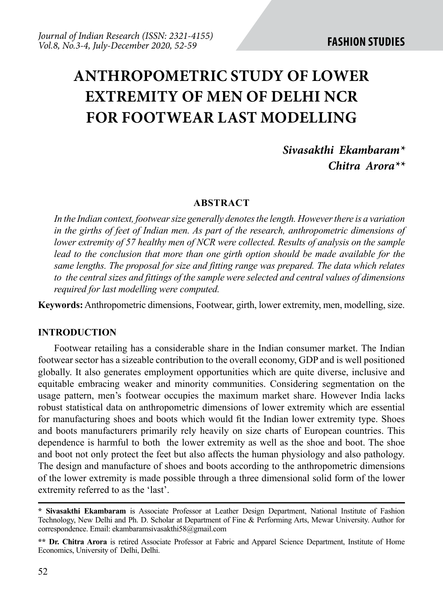# **ANTHROPOMETRIC STUDY OF LOWER EXTREMITY OF MEN OF DELHI NCR FOR FOOTWEAR LAST MODELLING**

# *Sivasakthi Ekambaram\* Chitra Arora\*\**

#### **ABSTRACT**

*In the Indian context, footwear size generally denotes the length. However there is a variation in the girths of feet of Indian men. As part of the research, anthropometric dimensions of lower extremity of 57 healthy men of NCR were collected. Results of analysis on the sample* lead to the conclusion that more than one girth option should be made available for the *same lengths. The proposal for size and fitting range was prepared. The data which relates to the central sizes and fittings of the sample were selected and central values of dimensions required for last modelling were computed.* 

**Keywords:** Anthropometric dimensions, Footwear, girth, lower extremity, men, modelling, size.

#### **INTRODUCTION**

Footwear retailing has a considerable share in the Indian consumer market. The Indian footwear sector has a sizeable contribution to the overall economy, GDP and is well positioned globally. It also generates employment opportunities which are quite diverse, inclusive and equitable embracing weaker and minority communities. Considering segmentation on the usage pattern, men's footwear occupies the maximum market share. However India lacks robust statistical data on anthropometric dimensions of lower extremity which are essential for manufacturing shoes and boots which would fit the Indian lower extremity type. Shoes and boots manufacturers primarily rely heavily on size charts of European countries. This dependence is harmful to both the lower extremity as well as the shoe and boot. The shoe and boot not only protect the feet but also affects the human physiology and also pathology. The design and manufacture of shoes and boots according to the anthropometric dimensions of the lower extremity is made possible through a three dimensional solid form of the lower extremity referred to as the 'last'.

**<sup>\*</sup> Sivasakthi Ekambaram** is Associate Professor at Leather Design Department, National Institute of Fashion Technology, New Delhi and Ph. D. Scholar at Department of Fine & Performing Arts, Mewar University. Author for correspondence. Email: ekambaramsivasakthi58@gmail.com

**<sup>\*\*</sup> Dr. Chitra Arora** is retired Associate Professor at Fabric and Apparel Science Department, Institute of Home Economics, University of Delhi, Delhi.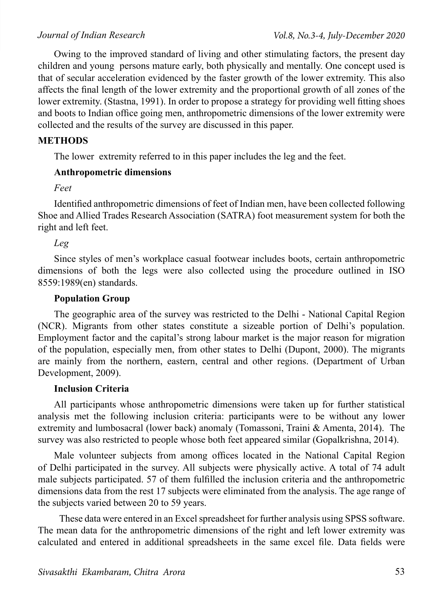Owing to the improved standard of living and other stimulating factors, the present day children and young persons mature early, both physically and mentally. One concept used is that of secular acceleration evidenced by the faster growth of the lower extremity. This also affects the final length of the lower extremity and the proportional growth of all zones of the lower extremity. (Stastna, 1991). In order to propose a strategy for providing well fitting shoes and boots to Indian office going men, anthropometric dimensions of the lower extremity were collected and the results of the survey are discussed in this paper.

#### **METHODS**

The lower extremity referred to in this paper includes the leg and the feet.

#### **Anthropometric dimensions**

*Feet* 

Identified anthropometric dimensions of feet of Indian men, have been collected following Shoe and Allied Trades Research Association (SATRA) foot measurement system for both the right and left feet.

#### *Leg*

Since styles of men's workplace casual footwear includes boots, certain anthropometric dimensions of both the legs were also collected using the procedure outlined in ISO 8559:1989(en) standards.

#### **Population Group**

The geographic area of the survey was restricted to the Delhi - National Capital Region (NCR). Migrants from other states constitute a sizeable portion of Delhi's population. Employment factor and the capital's strong labour market is the major reason for migration of the population, especially men, from other states to Delhi (Dupont, 2000). The migrants are mainly from the northern, eastern, central and other regions. (Department of Urban Development, 2009).

#### **Inclusion Criteria**

All participants whose anthropometric dimensions were taken up for further statistical analysis met the following inclusion criteria: participants were to be without any lower extremity and lumbosacral (lower back) anomaly (Tomassoni, Traini & Amenta, 2014). The survey was also restricted to people whose both feet appeared similar (Gopalkrishna, 2014).

Male volunteer subjects from among offices located in the National Capital Region of Delhi participated in the survey. All subjects were physically active. A total of 74 adult male subjects participated. 57 of them fulfilled the inclusion criteria and the anthropometric dimensions data from the rest 17 subjects were eliminated from the analysis. The age range of the subjects varied between 20 to 59 years.

 These data were entered in an Excel spreadsheet for further analysis using SPSS software. The mean data for the anthropometric dimensions of the right and left lower extremity was calculated and entered in additional spreadsheets in the same excel file. Data fields were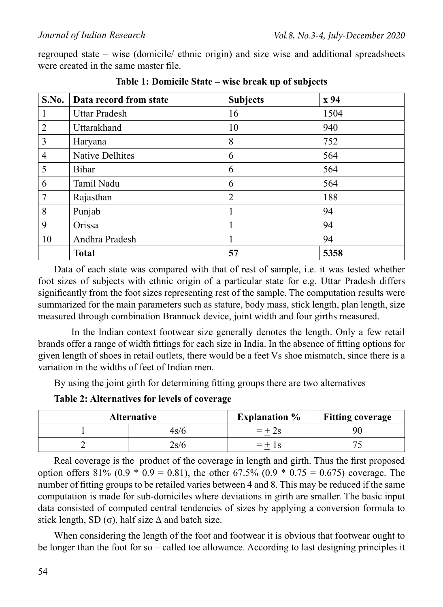regrouped state – wise (domicile/ ethnic origin) and size wise and additional spreadsheets were created in the same master file.

| S.No.          | Data record from state | <b>Subjects</b> | x 94 |
|----------------|------------------------|-----------------|------|
| 1              | <b>Uttar Pradesh</b>   | 16              | 1504 |
| $\overline{2}$ | Uttarakhand            | 10              | 940  |
| 3              | Haryana                | 8               | 752  |
| $\overline{4}$ | <b>Native Delhites</b> | 6               | 564  |
| 5              | Bihar                  | 6               | 564  |
| 6              | Tamil Nadu             | 6               | 564  |
| 7              | Rajasthan              | $\overline{2}$  | 188  |
| 8              | Punjab                 | -1              | 94   |
| 9              | Orissa                 | ш               | 94   |
| 10             | Andhra Pradesh         |                 | 94   |
|                | <b>Total</b>           | 57              | 5358 |

**Table 1: Domicile State – wise break up of subjects**

Data of each state was compared with that of rest of sample, i.e. it was tested whether foot sizes of subjects with ethnic origin of a particular state for e.g. Uttar Pradesh differs significantly from the foot sizes representing rest of the sample. The computation results were summarized for the main parameters such as stature, body mass, stick length, plan length, size measured through combination Brannock device, joint width and four girths measured.

 In the Indian context footwear size generally denotes the length. Only a few retail brands offer a range of width fittings for each size in India. In the absence of fitting options for given length of shoes in retail outlets, there would be a feet Vs shoe mismatch, since there is a variation in the widths of feet of Indian men.

By using the joint girth for determining fitting groups there are two alternatives

**Table 2: Alternatives for levels of coverage**

| <b>Alternative</b> |                   | <b>Explanation</b> % | <b>Fitting coverage</b> |
|--------------------|-------------------|----------------------|-------------------------|
|                    | 1s/6              |                      | 90                      |
|                    | $2$ s/ $\epsilon$ |                      |                         |

Real coverage is the product of the coverage in length and girth. Thus the first proposed option offers  $81\%$  (0.9  $*$  0.9 = 0.81), the other 67.5% (0.9  $*$  0.75 = 0.675) coverage. The number of fitting groups to be retailed varies between 4 and 8. This may be reduced if the same computation is made for sub-domiciles where deviations in girth are smaller. The basic input data consisted of computed central tendencies of sizes by applying a conversion formula to stick length, SD ( $\sigma$ ), half size  $\Delta$  and batch size.

When considering the length of the foot and footwear it is obvious that footwear ought to be longer than the foot for so – called toe allowance. According to last designing principles it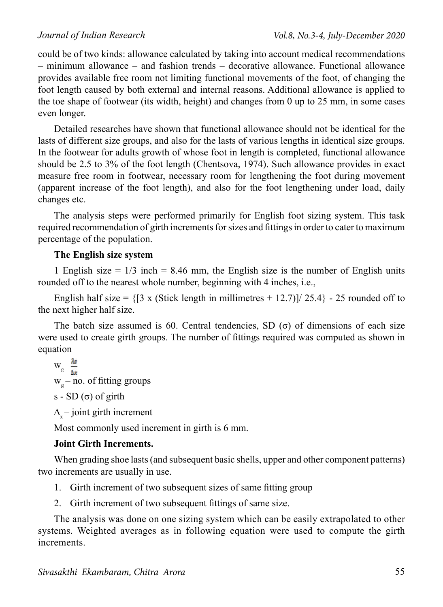could be of two kinds: allowance calculated by taking into account medical recommendations – minimum allowance – and fashion trends – decorative allowance. Functional allowance provides available free room not limiting functional movements of the foot, of changing the foot length caused by both external and internal reasons. Additional allowance is applied to the toe shape of footwear (its width, height) and changes from 0 up to 25 mm, in some cases even longer.

Detailed researches have shown that functional allowance should not be identical for the lasts of different size groups, and also for the lasts of various lengths in identical size groups. In the footwear for adults growth of whose foot in length is completed, functional allowance should be 2.5 to 3% of the foot length (Chentsova, 1974). Such allowance provides in exact measure free room in footwear, necessary room for lengthening the foot during movement (apparent increase of the foot length), and also for the foot lengthening under load, daily changes etc.

The analysis steps were performed primarily for English foot sizing system. This task required recommendation of girth increments for sizes and fittings in order to cater to maximum percentage of the population.

#### **The English size system**

1 English size  $= 1/3$  inch  $= 8.46$  mm, the English size is the number of English units rounded off to the nearest whole number, beginning with 4 inches, i.e.,

English half size =  $\{3 \times$  (Stick length in millimetres + 12.7)]/ 25.4} - 25 rounded off to the next higher half size.

The batch size assumed is 60. Central tendencies, SD ( $\sigma$ ) of dimensions of each size were used to create girth groups. The number of fittings required was computed as shown in equation

 $W_g \frac{\lambda s}{\Delta x}$  $w_g$  – no. of fitting groups s - SD (σ) of girth

 $\Delta$  – joint girth increment

Most commonly used increment in girth is 6 mm.

## **Joint Girth Increments.**

When grading shoe lasts (and subsequent basic shells, upper and other component patterns) two increments are usually in use.

- 1. Girth increment of two subsequent sizes of same fitting group
- 2. Girth increment of two subsequent fittings of same size.

The analysis was done on one sizing system which can be easily extrapolated to other systems. Weighted averages as in following equation were used to compute the girth increments.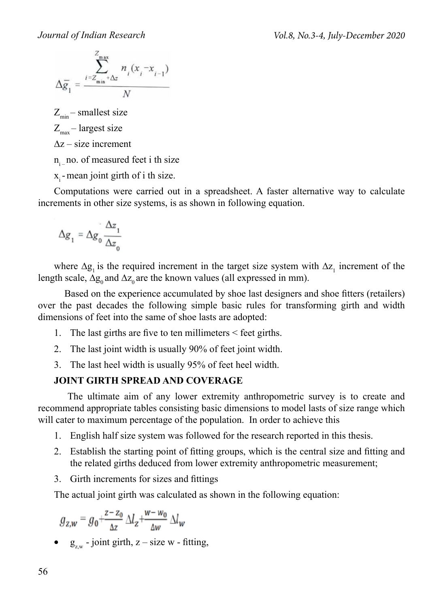$$
\Delta \overline{g}_1 = \frac{\sum_{i=Z_{\min} + \Delta z}^{Z_{\max}} n_i (x_i - x_{i-1})}{N}
$$

 $Z_{\text{min}}$  – smallest size

$$
Z_{\text{max}} - \text{largest size}
$$

∆z – size increment

n no. of measured feet i th size

 $x_i$  - mean joint girth of i th size.

Computations were carried out in a spreadsheet. A faster alternative way to calculate increments in other size systems, is as shown in following equation.

$$
\Delta g_1 = \Delta g_0 \frac{\Delta z_1}{\Delta z_0}
$$

where  $\Delta g_1$  is the required increment in the target size system with  $\Delta z_1$  increment of the length scale,  $\Delta g_0$  and  $\Delta z_0$  are the known values (all expressed in mm).

 Based on the experience accumulated by shoe last designers and shoe fitters (retailers) over the past decades the following simple basic rules for transforming girth and width dimensions of feet into the same of shoe lasts are adopted:

- 1. The last girths are five to ten millimeters < feet girths.
- 2. The last joint width is usually 90% of feet joint width.
- 3. The last heel width is usually 95% of feet heel width.

## **JOINT GIRTH SPREAD AND COVERAGE**

 The ultimate aim of any lower extremity anthropometric survey is to create and recommend appropriate tables consisting basic dimensions to model lasts of size range which will cater to maximum percentage of the population. In order to achieve this

- 1. English half size system was followed for the research reported in this thesis.
- 2. Establish the starting point of fitting groups, which is the central size and fitting and the related girths deduced from lower extremity anthropometric measurement;
- 3. Girth increments for sizes and fittings

The actual joint girth was calculated as shown in the following equation:

$$
g_{z,w}=g_0+\tfrac{z-z_0}{\Delta z}\,\Delta l_z+\tfrac{w-w_0}{\Delta w}\,\Delta l_w
$$

•  $g_{zw}$  - joint girth,  $z$  – size w - fitting,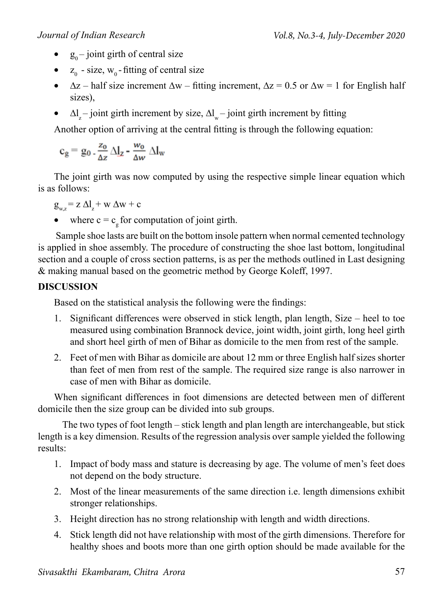- $g_0$  joint girth of central size
- $z_0$  size,  $w_0$  fitting of central size
- $\Delta z$  half size increment  $\Delta w$  fitting increment,  $\Delta z = 0.5$  or  $\Delta w = 1$  for English half sizes),
- $\Delta l_z$  joint girth increment by size,  $\Delta l_w$  joint girth increment by fitting

Another option of arriving at the central fitting is through the following equation:

$$
c_g = g_0 \cdot \frac{z_0}{\Delta z} \, \Delta I_z \cdot \frac{w_0}{\Delta w} \, \Delta I_w
$$

The joint girth was now computed by using the respective simple linear equation which is as follows:

- $g_{wz} = z \Delta l_z + w \Delta w + c$
- where  $c = c<sub>g</sub>$  for computation of joint girth.

 Sample shoe lasts are built on the bottom insole pattern when normal cemented technology is applied in shoe assembly. The procedure of constructing the shoe last bottom, longitudinal section and a couple of cross section patterns, is as per the methods outlined in Last designing & making manual based on the geometric method by George Koleff, 1997.

# **DISCUSSION**

Based on the statistical analysis the following were the findings:

- 1. Significant differences were observed in stick length, plan length, Size heel to toe measured using combination Brannock device, joint width, joint girth, long heel girth and short heel girth of men of Bihar as domicile to the men from rest of the sample.
- 2. Feet of men with Bihar as domicile are about 12 mm or three English half sizes shorter than feet of men from rest of the sample. The required size range is also narrower in case of men with Bihar as domicile.

When significant differences in foot dimensions are detected between men of different domicile then the size group can be divided into sub groups.

 The two types of foot length – stick length and plan length are interchangeable, but stick length is a key dimension. Results of the regression analysis over sample yielded the following results:

- 1. Impact of body mass and stature is decreasing by age. The volume of men's feet does not depend on the body structure.
- 2. Most of the linear measurements of the same direction i.e. length dimensions exhibit stronger relationships.
- 3. Height direction has no strong relationship with length and width directions.
- 4. Stick length did not have relationship with most of the girth dimensions. Therefore for healthy shoes and boots more than one girth option should be made available for the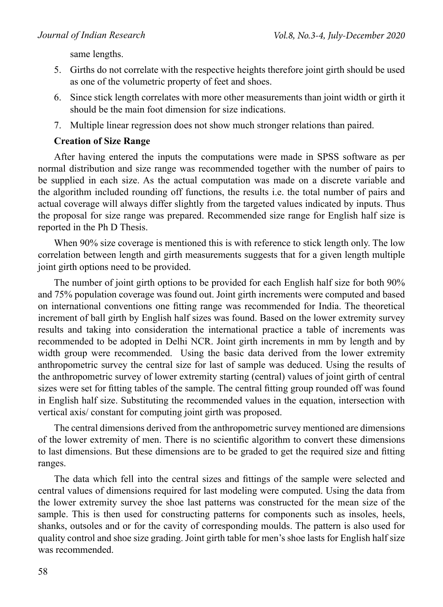same lengths.

- 5. Girths do not correlate with the respective heights therefore joint girth should be used as one of the volumetric property of feet and shoes.
- 6. Since stick length correlates with more other measurements than joint width or girth it should be the main foot dimension for size indications.
- 7. Multiple linear regression does not show much stronger relations than paired.

#### **Creation of Size Range**

After having entered the inputs the computations were made in SPSS software as per normal distribution and size range was recommended together with the number of pairs to be supplied in each size. As the actual computation was made on a discrete variable and the algorithm included rounding off functions, the results i.e. the total number of pairs and actual coverage will always differ slightly from the targeted values indicated by inputs. Thus the proposal for size range was prepared. Recommended size range for English half size is reported in the Ph D Thesis.

When 90% size coverage is mentioned this is with reference to stick length only. The low correlation between length and girth measurements suggests that for a given length multiple joint girth options need to be provided.

The number of joint girth options to be provided for each English half size for both 90% and 75% population coverage was found out. Joint girth increments were computed and based on international conventions one fitting range was recommended for India. The theoretical increment of ball girth by English half sizes was found. Based on the lower extremity survey results and taking into consideration the international practice a table of increments was recommended to be adopted in Delhi NCR. Joint girth increments in mm by length and by width group were recommended. Using the basic data derived from the lower extremity anthropometric survey the central size for last of sample was deduced. Using the results of the anthropometric survey of lower extremity starting (central) values of joint girth of central sizes were set for fitting tables of the sample. The central fitting group rounded off was found in English half size. Substituting the recommended values in the equation, intersection with vertical axis/ constant for computing joint girth was proposed.

The central dimensions derived from the anthropometric survey mentioned are dimensions of the lower extremity of men. There is no scientific algorithm to convert these dimensions to last dimensions. But these dimensions are to be graded to get the required size and fitting ranges.

The data which fell into the central sizes and fittings of the sample were selected and central values of dimensions required for last modeling were computed. Using the data from the lower extremity survey the shoe last patterns was constructed for the mean size of the sample. This is then used for constructing patterns for components such as insoles, heels, shanks, outsoles and or for the cavity of corresponding moulds. The pattern is also used for quality control and shoe size grading. Joint girth table for men's shoe lasts for English half size was recommended.